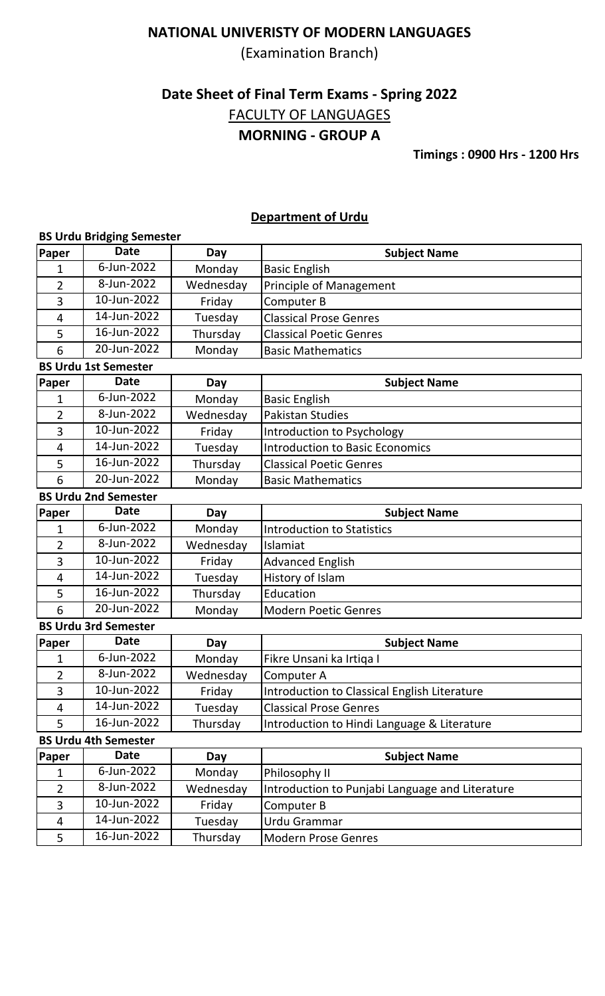(Examination Branch)

# **Date Sheet of Final Term Exams - Spring 2022 MORNING - GROUP A** FACULTY OF LANGUAGES

**Timings : 0900 Hrs - 1200 Hrs**

### **Department of Urdu**

|                | <b>BS Urdu Bridging Semester</b> |           |                                                 |
|----------------|----------------------------------|-----------|-------------------------------------------------|
| Paper          | <b>Date</b>                      | Day       | <b>Subject Name</b>                             |
| 1              | 6-Jun-2022                       | Monday    | <b>Basic English</b>                            |
| $\overline{2}$ | 8-Jun-2022                       | Wednesday | Principle of Management                         |
| 3              | 10-Jun-2022                      | Friday    | Computer B                                      |
| 4              | 14-Jun-2022                      | Tuesday   | <b>Classical Prose Genres</b>                   |
| 5              | $\overline{16}$ -Jun-2022        | Thursday  | <b>Classical Poetic Genres</b>                  |
| 6              | 20-Jun-2022                      | Monday    | <b>Basic Mathematics</b>                        |
|                | <b>BS Urdu 1st Semester</b>      |           |                                                 |
| Paper          | <b>Date</b>                      | Day       | <b>Subject Name</b>                             |
| 1              | 6-Jun-2022                       | Monday    | <b>Basic English</b>                            |
| 2              | 8-Jun-2022                       | Wednesday | <b>Pakistan Studies</b>                         |
| 3              | 10-Jun-2022                      | Friday    | Introduction to Psychology                      |
| 4              | 14-Jun-2022                      | Tuesday   | <b>Introduction to Basic Economics</b>          |
| 5              | 16-Jun-2022                      | Thursday  | <b>Classical Poetic Genres</b>                  |
| 6              | 20-Jun-2022                      | Monday    | <b>Basic Mathematics</b>                        |
|                | <b>BS Urdu 2nd Semester</b>      |           |                                                 |
| Paper          | <b>Date</b>                      | Day       | <b>Subject Name</b>                             |
| 1              | 6-Jun-2022                       | Monday    | <b>Introduction to Statistics</b>               |
| 2              | 8-Jun-2022                       | Wednesday | Islamiat                                        |
| 3              | 10-Jun-2022                      | Friday    | <b>Advanced English</b>                         |
| 4              | 14-Jun-2022                      | Tuesday   | History of Islam                                |
| 5              | 16-Jun-2022                      | Thursday  | Education                                       |
| 6              | 20-Jun-2022                      | Monday    | <b>Modern Poetic Genres</b>                     |
|                | <b>BS Urdu 3rd Semester</b>      |           |                                                 |
| Paper          | <b>Date</b>                      | Day       | <b>Subject Name</b>                             |
| $\mathbf 1$    | 6-Jun-2022                       | Monday    | Fikre Unsani ka Irtiqa I                        |
| 2              | 8-Jun-2022                       | Wednesday | Computer A                                      |
| 3              | 10-Jun-2022                      | Friday    | Introduction to Classical English Literature    |
| 4              | 14-Jun-2022                      | Tuesday   | <b>Classical Prose Genres</b>                   |
| 5              | 16-Jun-2022                      | Thursday  | Introduction to Hindi Language & Literature     |
|                | <b>BS Urdu 4th Semester</b>      |           |                                                 |
| Paper          | <b>Date</b>                      | Day       | <b>Subject Name</b>                             |
| 1              | 6-Jun-2022                       | Monday    | Philosophy II                                   |
| $\overline{2}$ | 8-Jun-2022                       | Wednesday | Introduction to Punjabi Language and Literature |
| 3              | 10-Jun-2022                      | Friday    | Computer B                                      |
| $\overline{4}$ | 14-Jun-2022                      | Tuesday   | Urdu Grammar                                    |
| 5              | 16-Jun-2022                      | Thursday  | <b>Modern Prose Genres</b>                      |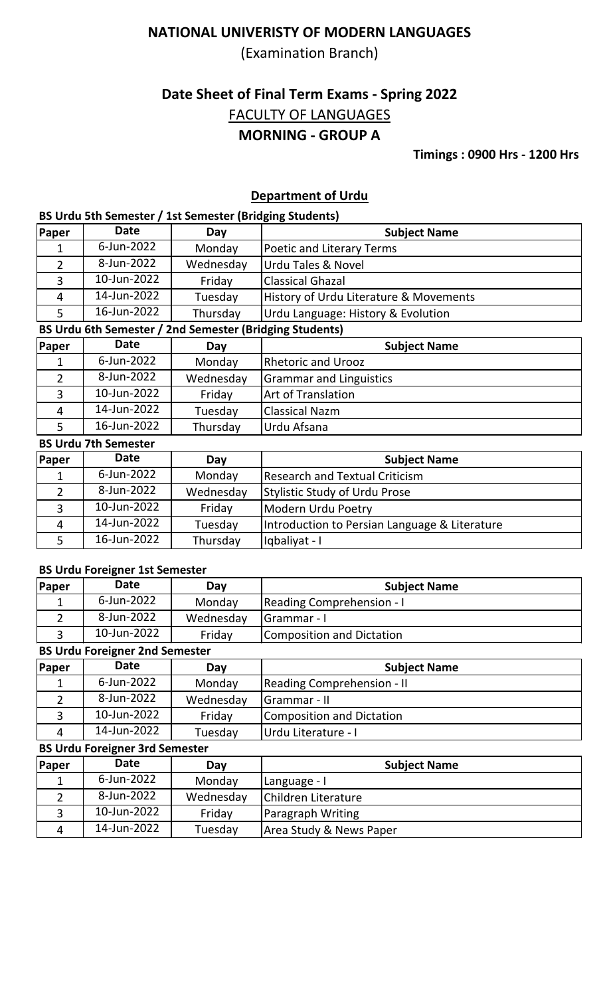(Examination Branch)

# **Date Sheet of Final Term Exams - Spring 2022 MORNING - GROUP A** FACULTY OF LANGUAGES

**Timings : 0900 Hrs - 1200 Hrs**

## **Department of Urdu**

#### **BS Urdu 5th Semester / 1st Semester (Bridging Students)**

| Paper          | <b>Date</b>                 | Day                                                     | <b>Subject Name</b>                           |
|----------------|-----------------------------|---------------------------------------------------------|-----------------------------------------------|
| 1              | 6-Jun-2022                  | Monday                                                  | <b>Poetic and Literary Terms</b>              |
| $\overline{2}$ | 8-Jun-2022                  | Wednesday                                               | <b>Urdu Tales &amp; Novel</b>                 |
| 3              | 10-Jun-2022                 | Friday                                                  | <b>Classical Ghazal</b>                       |
| $\overline{4}$ | 14-Jun-2022                 | Tuesday                                                 | History of Urdu Literature & Movements        |
| 5              | 16-Jun-2022                 | Thursday                                                | Urdu Language: History & Evolution            |
|                |                             | BS Urdu 6th Semester / 2nd Semester (Bridging Students) |                                               |
| Paper          | <b>Date</b>                 | Day                                                     | <b>Subject Name</b>                           |
| 1              | 6-Jun-2022                  | Monday                                                  | <b>Rhetoric and Urooz</b>                     |
| $\overline{2}$ | 8-Jun-2022                  | Wednesday                                               | <b>Grammar and Linguistics</b>                |
| 3              | 10-Jun-2022                 | Friday                                                  | Art of Translation                            |
| $\overline{4}$ | 14-Jun-2022                 | Tuesday                                                 | <b>Classical Nazm</b>                         |
| 5              | 16-Jun-2022                 | Thursday                                                | Urdu Afsana                                   |
|                | <b>BS Urdu 7th Semester</b> |                                                         |                                               |
| Paper          | <b>Date</b>                 | Day                                                     | <b>Subject Name</b>                           |
| 1              | 6-Jun-2022                  | Monday                                                  | <b>Research and Textual Criticism</b>         |
| 2              | 8-Jun-2022                  | Wednesday                                               | <b>Stylistic Study of Urdu Prose</b>          |
| 3              | 10-Jun-2022                 | Friday                                                  | Modern Urdu Poetry                            |
| $\overline{4}$ | 14-Jun-2022                 | Tuesday                                                 | Introduction to Persian Language & Literature |
| 5              | 16-Jun-2022                 | Thursday                                                | Iqbaliyat - I                                 |

## **BS Urdu Foreigner 1st Semester**

| Paper          | <b>Date</b>                           | Day       | <b>Subject Name</b>               |  |  |
|----------------|---------------------------------------|-----------|-----------------------------------|--|--|
|                | 6-Jun-2022                            | Monday    | <b>Reading Comprehension - I</b>  |  |  |
| $\overline{2}$ | 8-Jun-2022                            | Wednesday | Grammar - I                       |  |  |
| 3              | 10-Jun-2022                           | Friday    | Composition and Dictation         |  |  |
|                | <b>BS Urdu Foreigner 2nd Semester</b> |           |                                   |  |  |
| Paper          | <b>Date</b>                           | Day       | <b>Subject Name</b>               |  |  |
|                | 6-Jun-2022                            | Monday    | <b>Reading Comprehension - II</b> |  |  |
| $\overline{2}$ | 8-Jun-2022                            | Wednesday | Grammar - II                      |  |  |
| 3              | 10-Jun-2022                           | Friday    | <b>Composition and Dictation</b>  |  |  |
| 4              | 14-Jun-2022                           | Tuesday   | Urdu Literature - I               |  |  |
|                | <b>BS Urdu Foreigner 3rd Semester</b> |           |                                   |  |  |
|                | <b>Data</b>                           |           | .                                 |  |  |

| Paper | <b>Date</b> | Day       | <b>Subject Name</b>      |
|-------|-------------|-----------|--------------------------|
|       | 6-Jun-2022  | Monday    | Language - I             |
|       | 8-Jun-2022  | Wednesday | Children Literature      |
|       | 10-Jun-2022 | Friday    | <b>Paragraph Writing</b> |
| 4     | 14-Jun-2022 | Tuesday   | Area Study & News Paper  |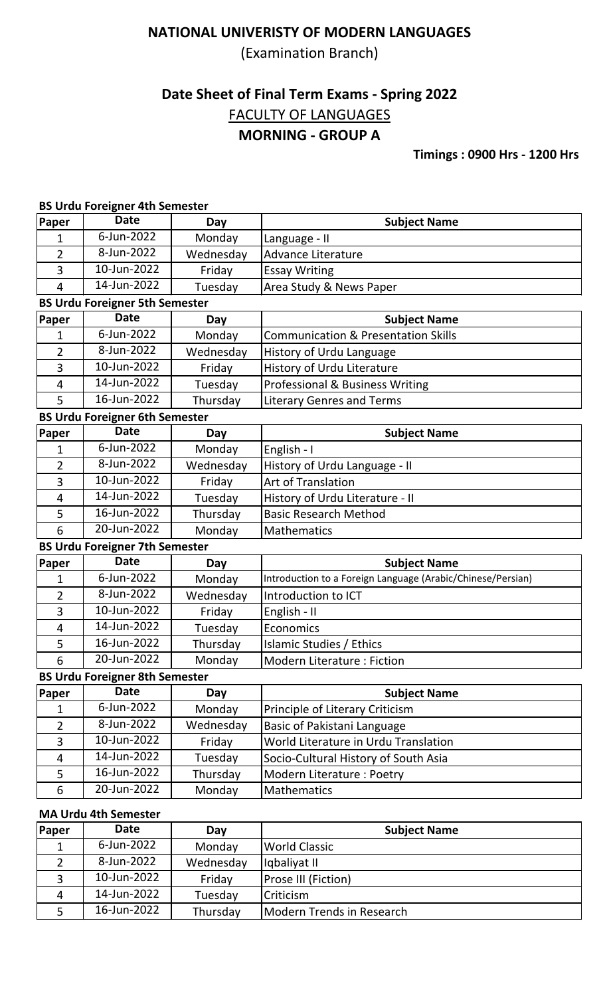(Examination Branch)

# **Date Sheet of Final Term Exams - Spring 2022 MORNING - GROUP A** FACULTY OF LANGUAGES

# **Timings : 0900 Hrs - 1200 Hrs**

#### **BS Urdu Foreigner 4th Semester**

| <b>Paper</b>   | <b>Date</b>                           | Day       | <b>Subject Name</b>                                         |
|----------------|---------------------------------------|-----------|-------------------------------------------------------------|
| 1              | 6-Jun-2022                            | Monday    | Language - II                                               |
| 2              | 8-Jun-2022                            | Wednesday | <b>Advance Literature</b>                                   |
| 3              | 10-Jun-2022                           | Friday    | <b>Essay Writing</b>                                        |
| 4              | 14-Jun-2022                           | Tuesday   | Area Study & News Paper                                     |
|                | <b>BS Urdu Foreigner 5th Semester</b> |           |                                                             |
| Paper          | <b>Date</b>                           | Day       | <b>Subject Name</b>                                         |
| 1              | 6-Jun-2022                            | Monday    | <b>Communication &amp; Presentation Skills</b>              |
| 2              | 8-Jun-2022                            | Wednesday | History of Urdu Language                                    |
| 3              | 10-Jun-2022                           | Friday    | History of Urdu Literature                                  |
| 4              | 14-Jun-2022                           | Tuesday   | Professional & Business Writing                             |
| 5              | 16-Jun-2022                           | Thursday  | <b>Literary Genres and Terms</b>                            |
|                | <b>BS Urdu Foreigner 6th Semester</b> |           |                                                             |
| Paper          | <b>Date</b>                           | Day       | <b>Subject Name</b>                                         |
| 1              | 6-Jun-2022                            | Monday    | English - I                                                 |
| $\overline{2}$ | 8-Jun-2022                            | Wednesday | History of Urdu Language - II                               |
| 3              | 10-Jun-2022                           | Friday    | Art of Translation                                          |
| $\overline{4}$ | 14-Jun-2022                           | Tuesday   | History of Urdu Literature - II                             |
| 5              | 16-Jun-2022                           | Thursday  | <b>Basic Research Method</b>                                |
| 6              | 20-Jun-2022                           | Monday    | <b>Mathematics</b>                                          |
|                | <b>BS Urdu Foreigner 7th Semester</b> |           |                                                             |
| Paper          | <b>Date</b>                           | Day       | <b>Subject Name</b>                                         |
| 1              | 6-Jun-2022                            | Monday    | Introduction to a Foreign Language (Arabic/Chinese/Persian) |
| $\overline{2}$ | 8-Jun-2022                            | Wednesday | Introduction to ICT                                         |
| 3              | $10 - Jun - 2022$                     | Friday    | English - II                                                |
| 4              | 14-Jun-2022                           | Tuesday   | Economics                                                   |
| 5              | 16-Jun-2022                           | Thursday  | Islamic Studies / Ethics                                    |
| 6              | 20-Jun-2022                           | Monday    | Modern Literature : Fiction                                 |
|                | <b>BS Urdu Foreigner 8th Semester</b> |           |                                                             |
| Paper          | <b>Date</b>                           | Day       | <b>Subject Name</b>                                         |
| 1              | 6-Jun-2022                            | Monday    | Principle of Literary Criticism                             |
| 2              | 8-Jun-2022                            | Wednesday | <b>Basic of Pakistani Language</b>                          |
| 3              | 10-Jun-2022                           | Friday    | World Literature in Urdu Translation                        |
| 4              | 14-Jun-2022                           | Tuesday   | Socio-Cultural History of South Asia                        |
| 5              | 16-Jun-2022                           | Thursday  | Modern Literature: Poetry                                   |
| 6              | 20-Jun-2022                           | Monday    | <b>Mathematics</b>                                          |
|                | MA Lirdu Ath Samastar                 |           |                                                             |

#### **MA Urdu 4th Semester**

| Paper | <b>Date</b> | Day       | <b>Subject Name</b>        |
|-------|-------------|-----------|----------------------------|
|       | 6-Jun-2022  | Monday    | World Classic              |
|       | 8-Jun-2022  | Wednesday | lgbaliyat II               |
|       | 10-Jun-2022 | Friday    | <b>Prose III (Fiction)</b> |
| 4     | 14-Jun-2022 | Tuesday   | <b>Criticism</b>           |
|       | 16-Jun-2022 | Thursday  | Modern Trends in Research  |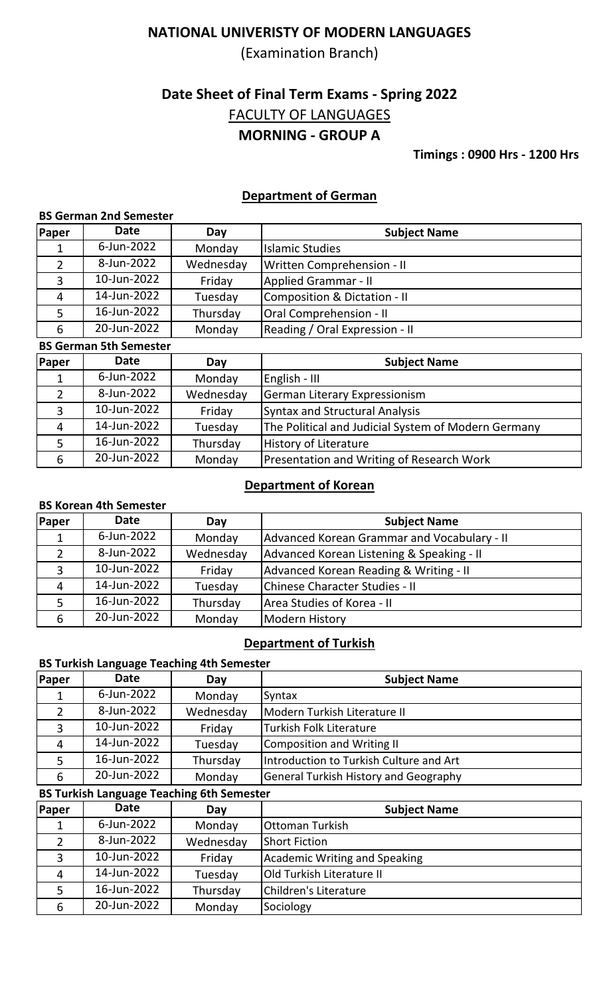(Examination Branch)

# **Date Sheet of Final Term Exams - Spring 2022 MORNING - GROUP A** FACULTY OF LANGUAGES

**Timings : 0900 Hrs - 1200 Hrs**

## **Department of German**

#### **BS German 2nd Semester**

| Paper | <b>Date</b> | Day       | <b>Subject Name</b>                     |
|-------|-------------|-----------|-----------------------------------------|
| 1     | 6-Jun-2022  | Monday    | <b>Islamic Studies</b>                  |
|       | 8-Jun-2022  | Wednesday | <b>Written Comprehension - II</b>       |
|       | 10-Jun-2022 | Friday    | <b>Applied Grammar - II</b>             |
| 4     | 14-Jun-2022 | Tuesday   | <b>Composition &amp; Dictation - II</b> |
|       | 16-Jun-2022 | Thursday  | <b>Oral Comprehension - II</b>          |
| 6     | 20-Jun-2022 | Monday    | Reading / Oral Expression - II          |

#### **BS German 5th Semester**

| Paper | <b>Date</b> | Day       | <b>Subject Name</b>                                 |
|-------|-------------|-----------|-----------------------------------------------------|
| 1     | 6-Jun-2022  | Monday    | English - III                                       |
| 2     | 8-Jun-2022  | Wednesday | German Literary Expressionism                       |
| っ     | 10-Jun-2022 | Friday    | <b>Syntax and Structural Analysis</b>               |
| 4     | 14-Jun-2022 | Tuesday   | The Political and Judicial System of Modern Germany |
|       | 16-Jun-2022 | Thursday  | History of Literature                               |
| 6     | 20-Jun-2022 | Monday    | Presentation and Writing of Research Work           |

## **Department of Korean**

#### **BS Korean 4th Semester**

| Paper          | <b>Date</b> | Day       | <b>Subject Name</b>                         |
|----------------|-------------|-----------|---------------------------------------------|
| 1              | 6-Jun-2022  | Monday    | Advanced Korean Grammar and Vocabulary - II |
| 2              | 8-Jun-2022  | Wednesday | Advanced Korean Listening & Speaking - II   |
| 3              | 10-Jun-2022 | Friday    | Advanced Korean Reading & Writing - II      |
| $\overline{4}$ | 14-Jun-2022 | Tuesday   | Chinese Character Studies - II              |
| 5              | 16-Jun-2022 | Thursday  | Area Studies of Korea - II                  |
| 6              | 20-Jun-2022 | Monday    | Modern History                              |

#### **Department of Turkish**

#### **BS Turkish Language Teaching 4th Semester**

| Paper | <b>Date</b> | Day       | <b>Subject Name</b>                          |
|-------|-------------|-----------|----------------------------------------------|
|       | 6-Jun-2022  | Monday    | Syntax                                       |
|       | 8-Jun-2022  | Wednesday | Modern Turkish Literature II                 |
|       | 10-Jun-2022 | Friday    | <b>Turkish Folk Literature</b>               |
| 4     | 14-Jun-2022 | Tuesday   | Composition and Writing II                   |
|       | 16-Jun-2022 | Thursday  | Introduction to Turkish Culture and Art      |
| 6     | 20-Jun-2022 | Monday    | <b>General Turkish History and Geography</b> |

### **BS Turkish Language Teaching 6th Semester**

| Paper | <b>Date</b> | Day       | <b>Subject Name</b>           |
|-------|-------------|-----------|-------------------------------|
|       | 6-Jun-2022  | Monday    | Ottoman Turkish               |
|       | 8-Jun-2022  | Wednesday | <b>Short Fiction</b>          |
|       | 10-Jun-2022 | Friday    | Academic Writing and Speaking |
| 4     | 14-Jun-2022 | Tuesday   | Old Turkish Literature II     |
|       | 16-Jun-2022 | Thursday  | Children's Literature         |
| 6     | 20-Jun-2022 | Monday    | Sociology                     |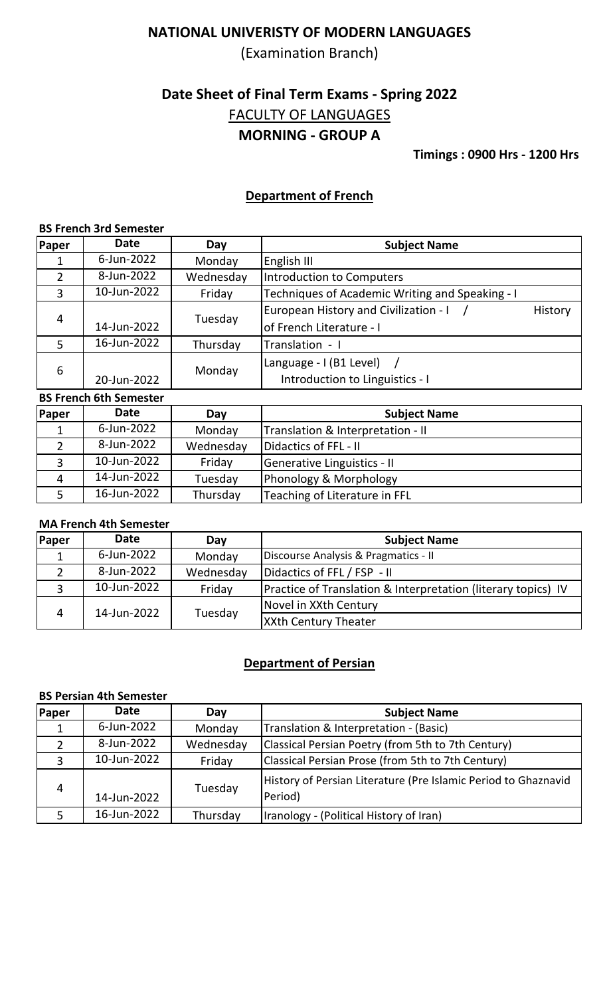(Examination Branch)

# **Date Sheet of Final Term Exams - Spring 2022 MORNING - GROUP A** FACULTY OF LANGUAGES

**Timings : 0900 Hrs - 1200 Hrs**

### **Department of French**

#### **BS French 3rd Semester**

| Paper          | <b>Date</b> | Day       | <b>Subject Name</b>                              |
|----------------|-------------|-----------|--------------------------------------------------|
|                | 6-Jun-2022  | Monday    | <b>English III</b>                               |
| 2              | 8-Jun-2022  | Wednesday | Introduction to Computers                        |
| 3              | 10-Jun-2022 | Friday    | Techniques of Academic Writing and Speaking - I  |
| $\overline{4}$ |             |           | European History and Civilization - I<br>History |
|                | 14-Jun-2022 | Tuesday   | of French Literature - I                         |
| 5              | 16-Jun-2022 | Thursday  | Translation - I                                  |
|                |             |           | Language - I (B1 Level)                          |
| 6              | 20-Jun-2022 | Monday    | Introduction to Linguistics - I                  |

### **BS French 6th Semester**

| <b>Paper</b>   | <b>Date</b> | Day       | <b>Subject Name</b>               |  |
|----------------|-------------|-----------|-----------------------------------|--|
|                | 6-Jun-2022  | Monday    | Translation & Interpretation - II |  |
|                | 8-Jun-2022  | Wednesday | Didactics of FFL - II             |  |
|                | 10-Jun-2022 | Friday    | Generative Linguistics - II       |  |
| $\overline{4}$ | 14-Jun-2022 | Tuesday   | Phonology & Morphology            |  |
|                | 16-Jun-2022 | Thursday  | Teaching of Literature in FFL     |  |

## **MA French 4th Semester**

| Paper | <b>Date</b> | Day       | <b>Subject Name</b>                                                      |
|-------|-------------|-----------|--------------------------------------------------------------------------|
|       | 6-Jun-2022  | Monday    | Discourse Analysis & Pragmatics - II                                     |
|       | 8-Jun-2022  | Wednesday | Didactics of FFL / FSP - II                                              |
|       | 10-Jun-2022 | Friday    | <b>Practice of Translation &amp; Interpretation (literary topics) IV</b> |
|       | 14-Jun-2022 | Tuesday   | Novel in XXth Century                                                    |
|       |             |           | <b>XXth Century Theater</b>                                              |

## **Department of Persian**

#### **BS Persian 4th Semester**

| <b>Paper</b>   | <b>Date</b> | Day       | <b>Subject Name</b>                                                       |
|----------------|-------------|-----------|---------------------------------------------------------------------------|
|                | 6-Jun-2022  | Monday    | Translation & Interpretation - (Basic)                                    |
| $\overline{2}$ | 8-Jun-2022  | Wednesday | Classical Persian Poetry (from 5th to 7th Century)                        |
| 3              | 10-Jun-2022 | Friday    | Classical Persian Prose (from 5th to 7th Century)                         |
| 4              | 14-Jun-2022 | Tuesday   | History of Persian Literature (Pre Islamic Period to Ghaznavid<br>Period) |
|                | 16-Jun-2022 | Thursday  | Iranology - (Political History of Iran)                                   |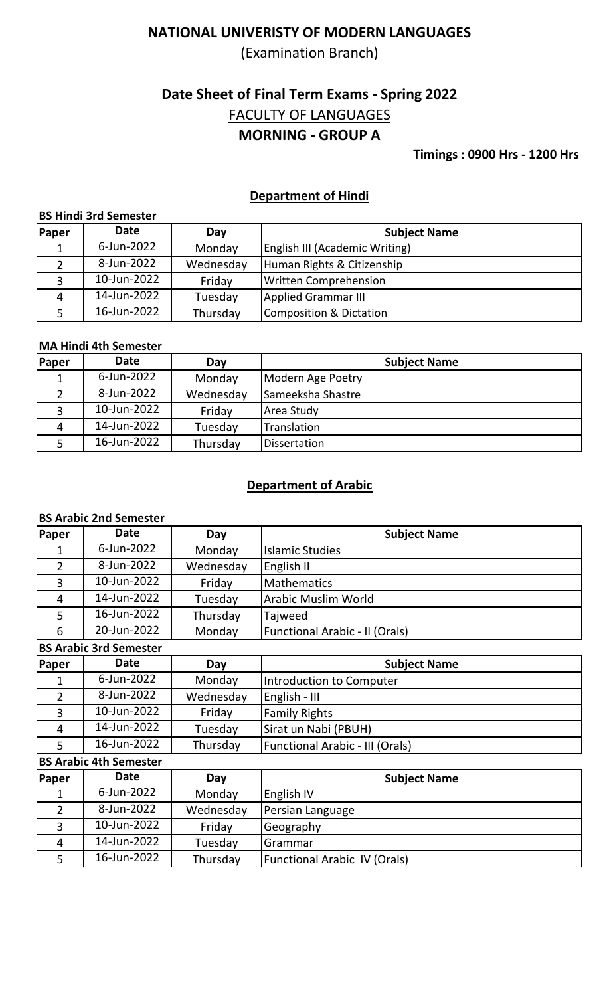(Examination Branch)

# **Date Sheet of Final Term Exams - Spring 2022 MORNING - GROUP A** FACULTY OF LANGUAGES

**Timings : 0900 Hrs - 1200 Hrs**

### **Department of Hindi**

#### **BS Hindi 3rd Semester**

| Paper | Date        | Day       | <b>Subject Name</b>                   |
|-------|-------------|-----------|---------------------------------------|
|       | 6-Jun-2022  | Monday    | <b>English III (Academic Writing)</b> |
|       | 8-Jun-2022  | Wednesday | Human Rights & Citizenship            |
|       | 10-Jun-2022 | Friday    | <b>Written Comprehension</b>          |
| 4     | 14-Jun-2022 | Tuesday   | Applied Grammar III                   |
|       | 16-Jun-2022 | Thursday  | Composition & Dictation               |

#### **MA Hindi 4th Semester**

| <b>Paper</b> | <b>Date</b> | Day       | <b>Subject Name</b> |
|--------------|-------------|-----------|---------------------|
|              | 6-Jun-2022  | Monday    | Modern Age Poetry   |
|              | 8-Jun-2022  | Wednesday | Sameeksha Shastre   |
|              | 10-Jun-2022 | Friday    | Area Study          |
| 4            | 14-Jun-2022 | Tuesday   | Translation         |
|              | 16-Jun-2022 | Thursday  | Dissertation        |

## **Department of Arabic**

#### **BS Arabic 2nd Semester**

| Paper          | <b>Date</b>                   | Day       | <b>Subject Name</b>                    |
|----------------|-------------------------------|-----------|----------------------------------------|
| 1              | 6-Jun-2022                    | Monday    | <b>Islamic Studies</b>                 |
| $\overline{2}$ | 8-Jun-2022                    | Wednesday | English II                             |
| 3              | 10-Jun-2022                   | Friday    | <b>Mathematics</b>                     |
| 4              | 14-Jun-2022                   | Tuesday   | <b>Arabic Muslim World</b>             |
| 5              | 16-Jun-2022                   | Thursday  | Tajweed                                |
| 6              | 20-Jun-2022                   | Monday    | Functional Arabic - II (Orals)         |
|                | <b>BS Arabic 3rd Semester</b> |           |                                        |
| Paper          | <b>Date</b>                   | Day       | <b>Subject Name</b>                    |
| 1              | 6-Jun-2022                    | Monday    | Introduction to Computer               |
| $\overline{2}$ | 8-Jun-2022                    | Wednesday | English - III                          |
| 3              | 10-Jun-2022                   | Friday    | <b>Family Rights</b>                   |
| $\overline{4}$ | 14-Jun-2022                   | Tuesday   | Sirat un Nabi (PBUH)                   |
| 5              | 16-Jun-2022                   | Thursday  | <b>Functional Arabic - III (Orals)</b> |
|                | <b>BS Arabic 4th Semester</b> |           |                                        |
| Paper          | <b>Date</b>                   | Day       | <b>Subject Name</b>                    |
| 1              | 6-Jun-2022                    | Monday    | English IV                             |
| $\overline{2}$ | 8-Jun-2022                    | Wednesday | Persian Language                       |
| 3              | 10-Jun-2022                   | Friday    | Geography                              |
| 4              | 14-Jun-2022                   | Tuesday   | Grammar                                |
| 5              | 16-Jun-2022                   | Thursday  | <b>Functional Arabic IV (Orals)</b>    |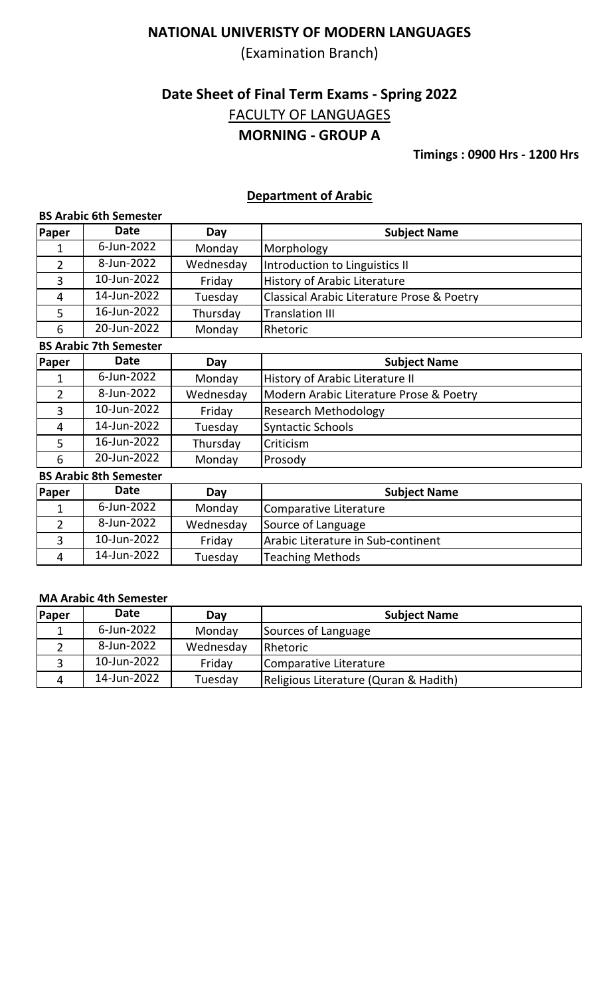(Examination Branch)

# **Date Sheet of Final Term Exams - Spring 2022 MORNING - GROUP A** FACULTY OF LANGUAGES

**Timings : 0900 Hrs - 1200 Hrs**

### **Department of Arabic**

#### **BS Arabic 6th Semester**

| Paper          | <b>Date</b>                   | Day       | <b>Subject Name</b>                        |
|----------------|-------------------------------|-----------|--------------------------------------------|
| 1              | 6-Jun-2022                    | Monday    | Morphology                                 |
| $\overline{2}$ | 8-Jun-2022                    | Wednesday | Introduction to Linguistics II             |
| 3              | 10-Jun-2022                   | Friday    | History of Arabic Literature               |
| 4              | 14-Jun-2022                   | Tuesday   | Classical Arabic Literature Prose & Poetry |
| 5              | 16-Jun-2022                   | Thursday  | <b>Translation III</b>                     |
| 6              | 20-Jun-2022                   | Monday    | Rhetoric                                   |
|                | <b>BS Arabic 7th Semester</b> |           |                                            |
| Paper          | <b>Date</b>                   | Day       | <b>Subject Name</b>                        |
| 1              | 6-Jun-2022                    | Monday    | History of Arabic Literature II            |
| 2              | 8-Jun-2022                    | Wednesday | Modern Arabic Literature Prose & Poetry    |
| 3              | 10-Jun-2022                   | Friday    | <b>Research Methodology</b>                |
| 4              | 14-Jun-2022                   | Tuesday   | <b>Syntactic Schools</b>                   |
| 5              | 16-Jun-2022                   | Thursday  | Criticism                                  |
| 6              | 20-Jun-2022                   | Monday    | Prosody                                    |
|                | <b>BS Arabic 8th Semester</b> |           |                                            |
| Paper          | <b>Date</b>                   | Day       | <b>Subject Name</b>                        |
| $\mathbf 1$    | 6-Jun-2022                    | Monday    | Comparative Literature                     |
| $\overline{2}$ | 8-Jun-2022                    | Wednesday | Source of Language                         |
| 3              | 10-Jun-2022                   | Friday    | Arabic Literature in Sub-continent         |
| 4              | 14-Jun-2022                   | Tuesday   | <b>Teaching Methods</b>                    |

#### **MA Arabic 4th Semester**

| <b>Paper</b> | Date        | Day       | <b>Subject Name</b>                   |
|--------------|-------------|-----------|---------------------------------------|
|              | 6-Jun-2022  | Monday    | Sources of Language                   |
|              | 8-Jun-2022  | Wednesday | <b>IRhetoric</b>                      |
|              | 10-Jun-2022 | Friday    | Comparative Literature                |
| Δ            | 14-Jun-2022 | Tuesday   | Religious Literature (Quran & Hadith) |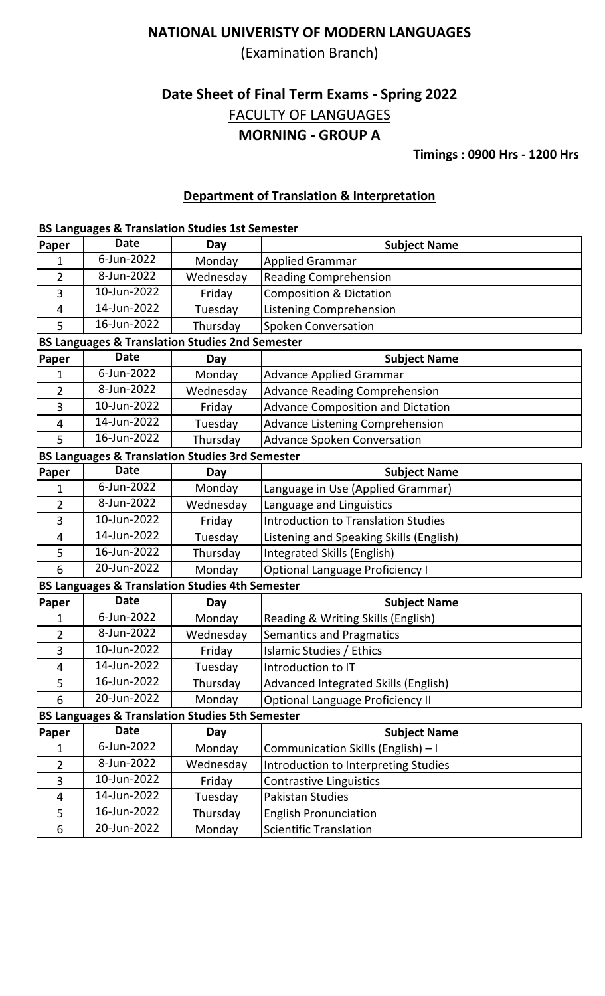(Examination Branch)

# **Date Sheet of Final Term Exams - Spring 2022 MORNING - GROUP A** FACULTY OF LANGUAGES

**Timings : 0900 Hrs - 1200 Hrs**

## **Department of Translation & Interpretation**

#### **BS Languages & Translation Studies 1st Semester**

| Paper          | <b>Date</b>    | Day                                                        | <b>Subject Name</b>                        |
|----------------|----------------|------------------------------------------------------------|--------------------------------------------|
| 1              | 6-Jun-2022     | Monday                                                     | <b>Applied Grammar</b>                     |
| 2              | 8-Jun-2022     | Wednesday                                                  | <b>Reading Comprehension</b>               |
| 3              | 10-Jun-2022    | Friday                                                     | <b>Composition &amp; Dictation</b>         |
| 4              | 14-Jun-2022    | Tuesday                                                    | <b>Listening Comprehension</b>             |
| 5              | 16-Jun-2022    | Thursday                                                   | Spoken Conversation                        |
|                |                | <b>BS Languages &amp; Translation Studies 2nd Semester</b> |                                            |
| Paper          | <b>Date</b>    | Day                                                        | <b>Subject Name</b>                        |
| 1              | 6-Jun-2022     | Monday                                                     | <b>Advance Applied Grammar</b>             |
| $\overline{2}$ | 8-Jun-2022     | Wednesday                                                  | <b>Advance Reading Comprehension</b>       |
| 3              | $10$ -Jun-2022 | Friday                                                     | <b>Advance Composition and Dictation</b>   |
| 4              | 14-Jun-2022    | Tuesday                                                    | <b>Advance Listening Comprehension</b>     |
| 5              | 16-Jun-2022    | Thursday                                                   | <b>Advance Spoken Conversation</b>         |
|                |                | <b>BS Languages &amp; Translation Studies 3rd Semester</b> |                                            |
| Paper          | <b>Date</b>    | Day                                                        | <b>Subject Name</b>                        |
| 1              | 6-Jun-2022     | Monday                                                     | Language in Use (Applied Grammar)          |
| 2              | 8-Jun-2022     | Wednesday                                                  | Language and Linguistics                   |
| 3              | 10-Jun-2022    | Friday                                                     | <b>Introduction to Translation Studies</b> |
| 4              | 14-Jun-2022    | Tuesday                                                    | Listening and Speaking Skills (English)    |
| 5              | 16-Jun-2022    | Thursday                                                   | Integrated Skills (English)                |
| 6              | 20-Jun-2022    | Monday                                                     | <b>Optional Language Proficiency I</b>     |
|                |                | <b>BS Languages &amp; Translation Studies 4th Semester</b> |                                            |
| Paper          | <b>Date</b>    | Day                                                        | <b>Subject Name</b>                        |
| 1              | 6-Jun-2022     | Monday                                                     | Reading & Writing Skills (English)         |
| 2              | 8-Jun-2022     | Wednesday                                                  | <b>Semantics and Pragmatics</b>            |
| 3              | 10-Jun-2022    | Friday                                                     | Islamic Studies / Ethics                   |
| 4              | 14-Jun-2022    | Tuesday                                                    | Introduction to IT                         |
| 5              | 16-Jun-2022    | Thursday                                                   | Advanced Integrated Skills (English)       |
| 6              | 20-Jun-2022    | Monday                                                     | <b>Optional Language Proficiency II</b>    |
|                |                | <b>BS Languages &amp; Translation Studies 5th Semester</b> |                                            |
| Paper          | <b>Date</b>    | Day                                                        | <b>Subject Name</b>                        |
| 1              | 6-Jun-2022     | Monday                                                     | Communication Skills (English) - I         |
| $\overline{2}$ | 8-Jun-2022     | Wednesday                                                  | Introduction to Interpreting Studies       |
| 3              | 10-Jun-2022    | Friday                                                     | <b>Contrastive Linguistics</b>             |
| 4              | 14-Jun-2022    | Tuesday                                                    | <b>Pakistan Studies</b>                    |
| 5              | 16-Jun-2022    | Thursday                                                   | <b>English Pronunciation</b>               |
| 6              | 20-Jun-2022    | Monday                                                     | <b>Scientific Translation</b>              |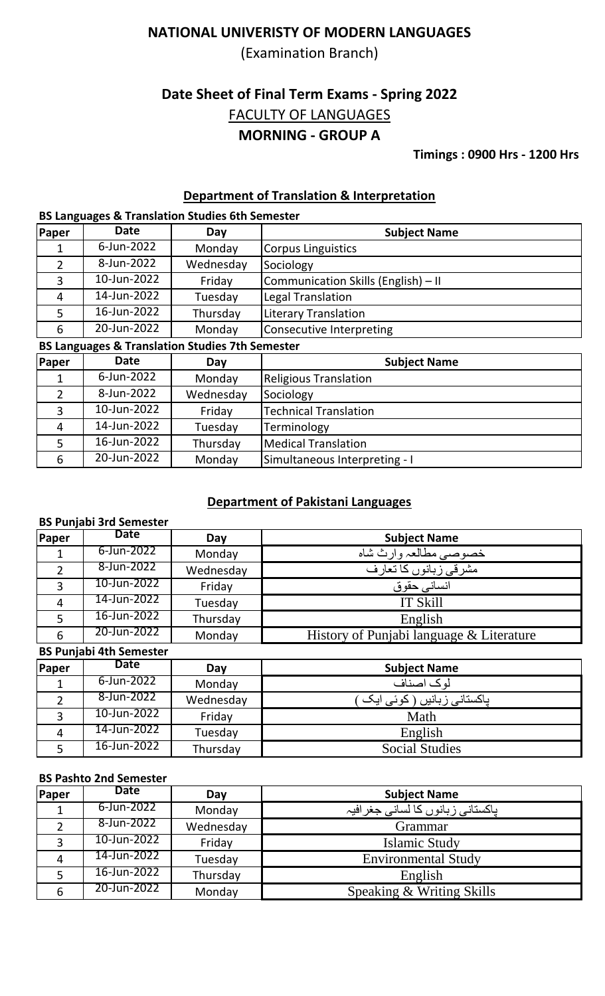(Examination Branch)

# **Date Sheet of Final Term Exams - Spring 2022 MORNING - GROUP A** FACULTY OF LANGUAGES

**Timings : 0900 Hrs - 1200 Hrs**

## **Department of Translation & Interpretation**

### **BS Languages & Translation Studies 6th Semester**

| <b>Paper</b>                                    | <b>Date</b> | Day       | <b>Subject Name</b>                 |  |
|-------------------------------------------------|-------------|-----------|-------------------------------------|--|
|                                                 | 6-Jun-2022  | Monday    | Corpus Linguistics                  |  |
| 2                                               | 8-Jun-2022  | Wednesday | Sociology                           |  |
| 3                                               | 10-Jun-2022 | Friday    | Communication Skills (English) - II |  |
| 4                                               | 14-Jun-2022 | Tuesday   | Legal Translation                   |  |
|                                                 | 16-Jun-2022 | Thursday  | Literary Translation                |  |
| 6                                               | 20-Jun-2022 | Monday    | Consecutive Interpreting            |  |
| DC Languages O Trenslation Chudies 7th Campator |             |           |                                     |  |

#### **BS Languages & Translation Studies 7th Semester**

| Paper | <b>Date</b> | Day       | <b>Subject Name</b>           |
|-------|-------------|-----------|-------------------------------|
|       | 6-Jun-2022  | Monday    | <b>Religious Translation</b>  |
|       | 8-Jun-2022  | Wednesday | Sociology                     |
|       | 10-Jun-2022 | Friday    | Technical Translation         |
| 4     | 14-Jun-2022 | Tuesday   | Terminology                   |
|       | 16-Jun-2022 | Thursday  | Medical Translation           |
| 6     | 20-Jun-2022 | Monday    | Simultaneous Interpreting - I |

## **Department of Pakistani Languages**

## **BS Punjabi 3rd Semester**

| Paper          | <b>Date</b> | Day       | <b>Subject Name</b>                      |
|----------------|-------------|-----------|------------------------------------------|
|                | 6-Jun-2022  | Monday    | خصوصبي مطالعہ وارث شاه                   |
| C.             | 8-Jun-2022  | Wednesday | مشرقي زبانوں كا تعارف                    |
|                | 10-Jun-2022 | Friday    | انساني حقوق                              |
| $\overline{4}$ | 14-Jun-2022 | Tuesday   | IT Skill                                 |
|                | 16-Jun-2022 | Thursday  | English                                  |
| 6              | 20-Jun-2022 | Monday    | History of Punjabi language & Literature |

### **BS Punjabi 4th Semester**

| Paper | Date        | Day       | <b>Subject Name</b>                          |
|-------|-------------|-----------|----------------------------------------------|
|       | 6-Jun-2022  | Monday    | لو ک اصناف                                   |
|       | 8-Jun-2022  | Wednesday | ِ پاکستان <i>ی</i> زبانیں ( کوئ <i>ی</i> ایک |
|       | 10-Jun-2022 | Friday    | Math                                         |
| 4     | 14-Jun-2022 | Tuesday   | English                                      |
|       | 16-Jun-2022 | Thursday  | <b>Social Studies</b>                        |

#### **BS Pashto 2nd Semester**

| Paper | <b>Date</b> | Day       | <b>Subject Name</b>              |
|-------|-------------|-----------|----------------------------------|
|       | 6-Jun-2022  | Monday    | پاکستانی زبانوں کا لسانی جغرافیہ |
|       | 8-Jun-2022  | Wednesday | Grammar                          |
| っ     | 10-Jun-2022 | Friday    | Islamic Study                    |
|       | 14-Jun-2022 | Tuesday   | <b>Environmental Study</b>       |
|       | 16-Jun-2022 | Thursday  | English                          |
| 6     | 20-Jun-2022 | Monday    | Speaking & Writing Skills        |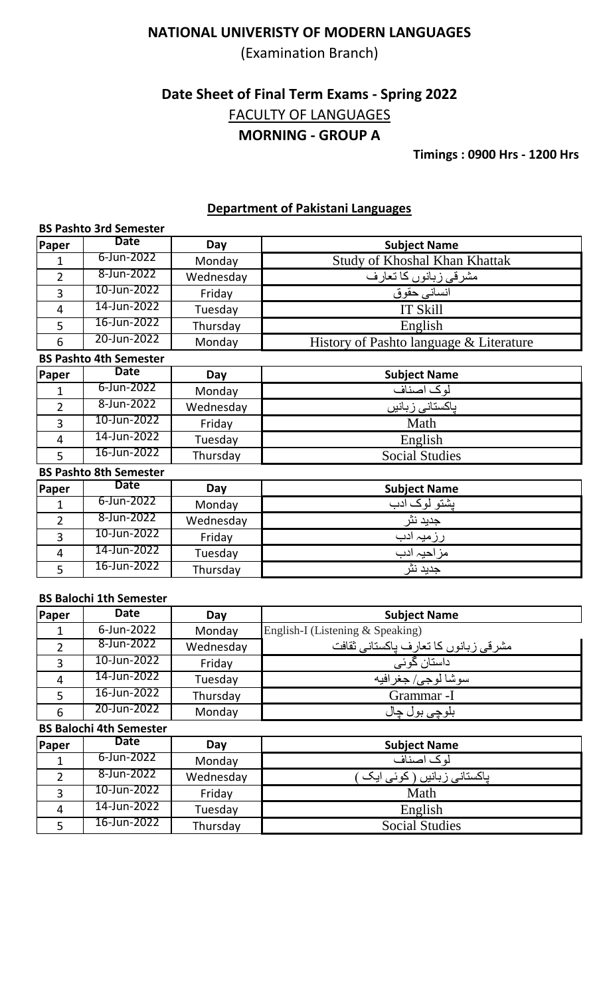(Examination Branch)

# **Date Sheet of Final Term Exams - Spring 2022 MORNING - GROUP A** FACULTY OF LANGUAGES

**Timings : 0900 Hrs - 1200 Hrs**

### **Department of Pakistani Languages**

|                | <b>BS Pashto 3rd Semester</b> |           |                                         |  |
|----------------|-------------------------------|-----------|-----------------------------------------|--|
| <b>Paper</b>   | <b>Date</b>                   | Day       | <b>Subject Name</b>                     |  |
| 1              | 6-Jun-2022                    | Monday    | <b>Study of Khoshal Khan Khattak</b>    |  |
| $\overline{2}$ | 8-Jun-2022                    | Wednesday | مشرقي زبانوں كا تعارف                   |  |
| 3              | 10-Jun-2022                   | Friday    | انساني حقوق                             |  |
| $\overline{4}$ | 14-Jun-2022                   | Tuesday   | <b>IT Skill</b>                         |  |
| 5              | 16-Jun-2022                   | Thursday  | English                                 |  |
| 6              | 20-Jun-2022                   | Monday    | History of Pashto language & Literature |  |
|                | <b>BS Pashto 4th Semester</b> |           |                                         |  |
| Paper          | <b>Date</b>                   | Day       | <b>Subject Name</b>                     |  |
| 1              | 6-Jun-2022                    | Monday    | لوك اصناف                               |  |
| $\overline{2}$ | 8-Jun-2022                    | Wednesday | ياكستانى زبانيں                         |  |
| 3              | 10-Jun-2022                   | Friday    | Math                                    |  |
| $\overline{4}$ | 14-Jun-2022                   | Tuesday   | English                                 |  |
| 5              | 16-Jun-2022                   | Thursday  | <b>Social Studies</b>                   |  |
|                | <b>BS Pashto 8th Semester</b> |           |                                         |  |
| Paper          | <b>Date</b>                   | Day       | <b>Subject Name</b>                     |  |
| $\mathbf{1}$   | 6-Jun-2022                    | Monday    | یشتو لوک ادب                            |  |
| $\overline{2}$ | 8-Jun-2022                    | Wednesday | جديد نثر                                |  |
| 3              | 10-Jun-2022                   | Friday    | <u>رزمیہ ادب</u>                        |  |
| $\overline{4}$ | 14-Jun-2022                   | Tuesday   | مزاحيہ ادب                              |  |
| 5              | 16-Jun-2022                   | Thursday  | جديد نثر                                |  |

### **BS Balochi 1th Semester**

| Paper          | <b>Date</b>                    | Day       | <b>Subject Name</b>                  |  |  |
|----------------|--------------------------------|-----------|--------------------------------------|--|--|
| 1              | 6-Jun-2022                     | Monday    | English-I (Listening & Speaking)     |  |  |
| $\overline{2}$ | 8-Jun-2022                     | Wednesday | مشرقي زبانوں كا تعارف پاكستاني ثقافت |  |  |
| 3              | 10-Jun-2022                    | Friday    | داستان گوئی                          |  |  |
| $\overline{4}$ | 14-Jun-2022                    | Tuesday   | سوشا لوجي/ جغرافيه                   |  |  |
| 5              | 16-Jun-2022                    | Thursday  | Grammar -I                           |  |  |
| 6              | 20-Jun-2022                    | Monday    | <u>بلوچي</u> بول چال                 |  |  |
|                | <b>BS Balochi 4th Semester</b> |           |                                      |  |  |
| Paper          | Date                           | Day       | <b>Subject Name</b>                  |  |  |
|                | 6-Jun-2022                     | Monday    | لوک اصناف                            |  |  |
| $\overline{2}$ | 8-Jun-2022                     | Wednesday | پاکستانی زبانیں ( کوئی ایک           |  |  |
| 3              | 10-Jun-2022                    | Friday    | Math                                 |  |  |
| $\overline{4}$ | 14-Jun-2022                    | Tuesday   | English                              |  |  |
| 5              | 16-Jun-2022                    | Thursday  | <b>Social Studies</b>                |  |  |